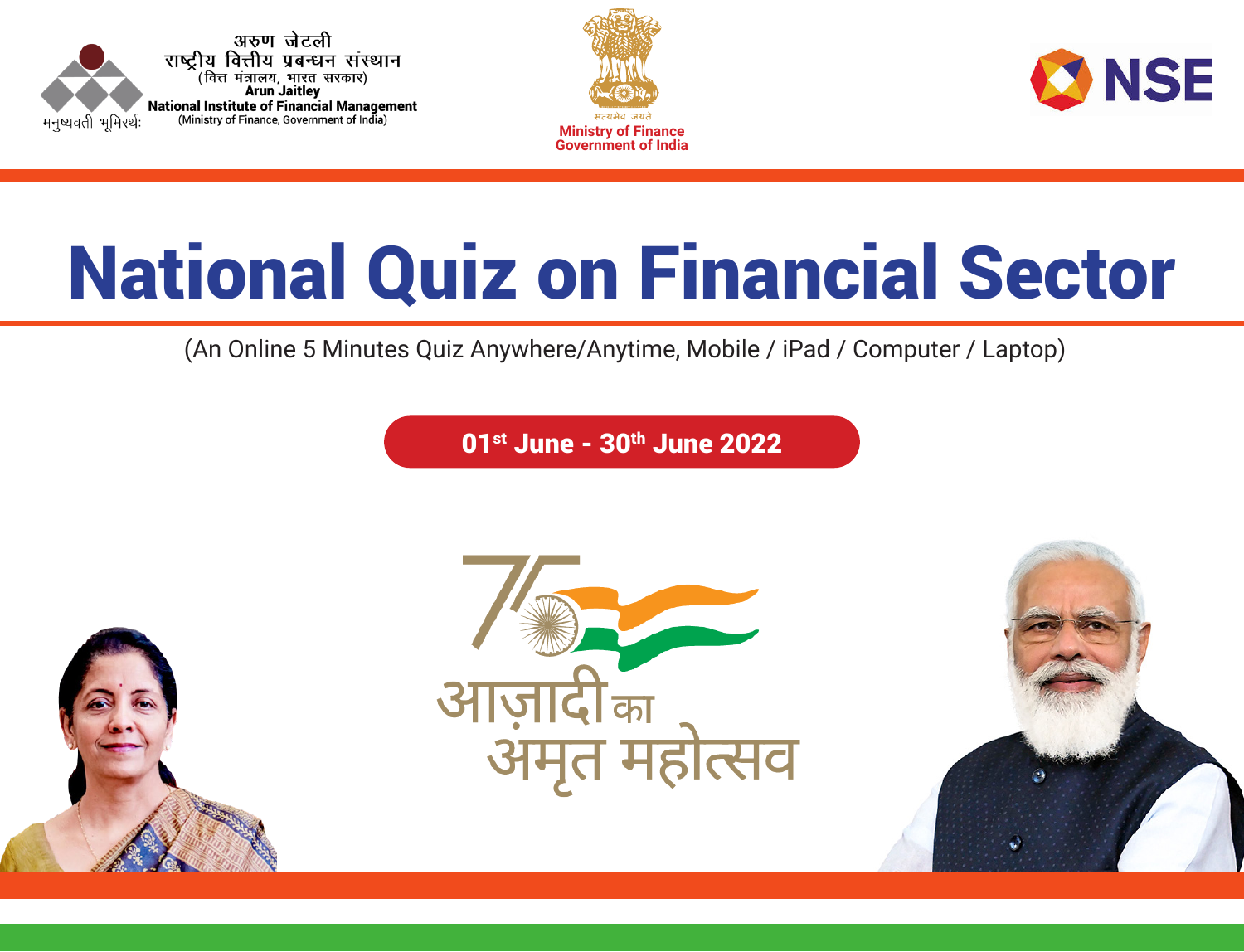





# National Quiz on Financial Sector

(An Online 5 Minutes Quiz Anywhere/Anytime, Mobile / iPad / Computer / Laptop)

01st June - 30th June 2022





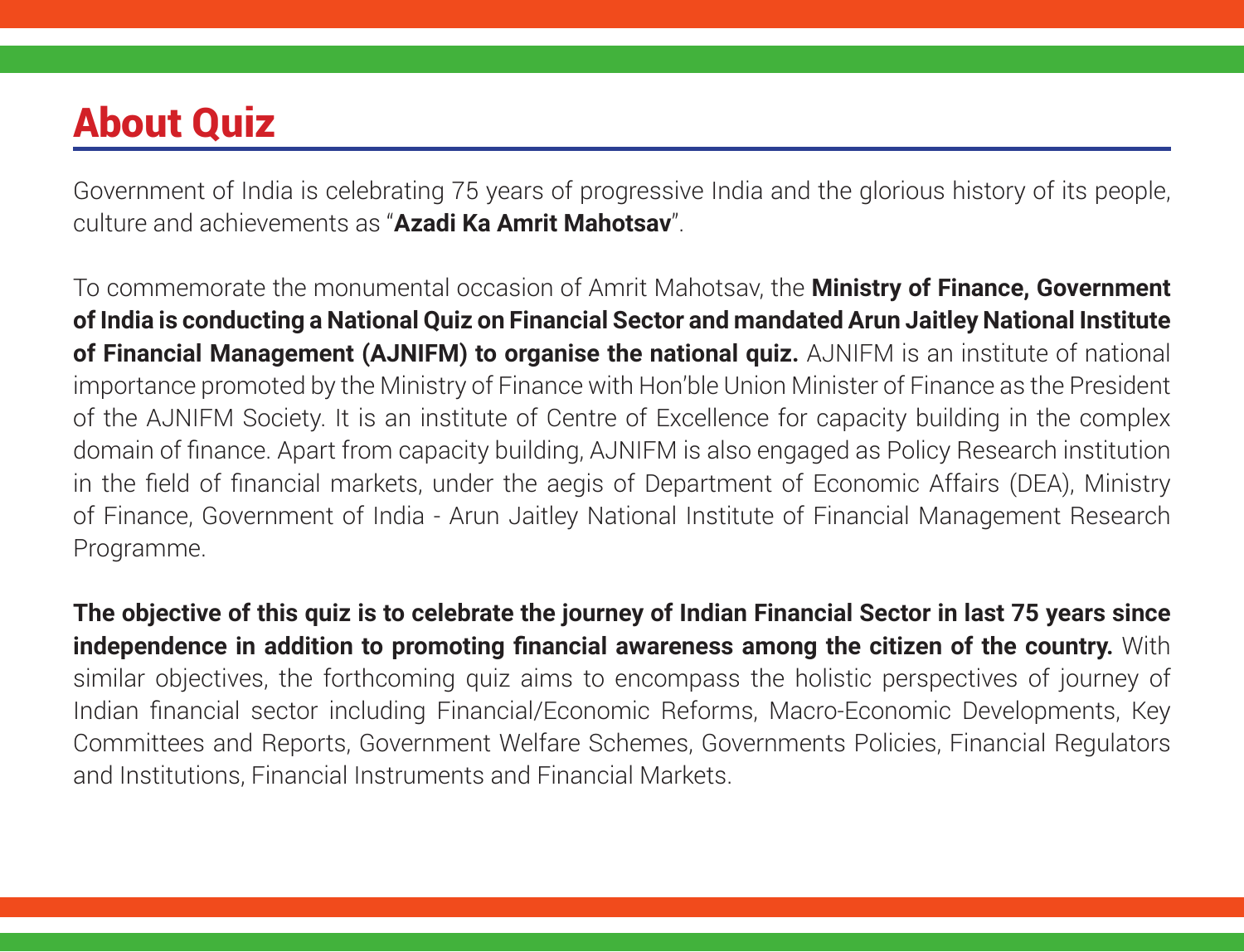### About Quiz

Government of India is celebrating 75 years of progressive India and the glorious history of its people, culture and achievements as "**Azadi Ka Amrit Mahotsav**".

To commemorate the monumental occasion of Amrit Mahotsav, the **Ministry of Finance, Government of India is conducting a National Quiz on Financial Sector and mandated Arun Jaitley National Institute of Financial Management (AJNIFM) to organise the national quiz.** AJNIFM is an institute of national importance promoted by the Ministry of Finance with Hon'ble Union Minister of Finance as the President of the AJNIFM Society. It is an institute of Centre of Excellence for capacity building in the complex domain of finance. Apart from capacity building, AJNIFM is also engaged as Policy Research institution in the field of financial markets, under the aegis of Department of Economic Affairs (DEA), Ministry of Finance, Government of India - Arun Jaitley National Institute of Financial Management Research Programme.

**The objective of this quiz is to celebrate the journey of Indian Financial Sector in last 75 years since independence in addition to promoting financial awareness among the citizen of the country.** With similar objectives, the forthcoming quiz aims to encompass the holistic perspectives of journey of Indian financial sector including Financial/Economic Reforms, Macro-Economic Developments, Key Committees and Reports, Government Welfare Schemes, Governments Policies, Financial Regulators and Institutions, Financial Instruments and Financial Markets.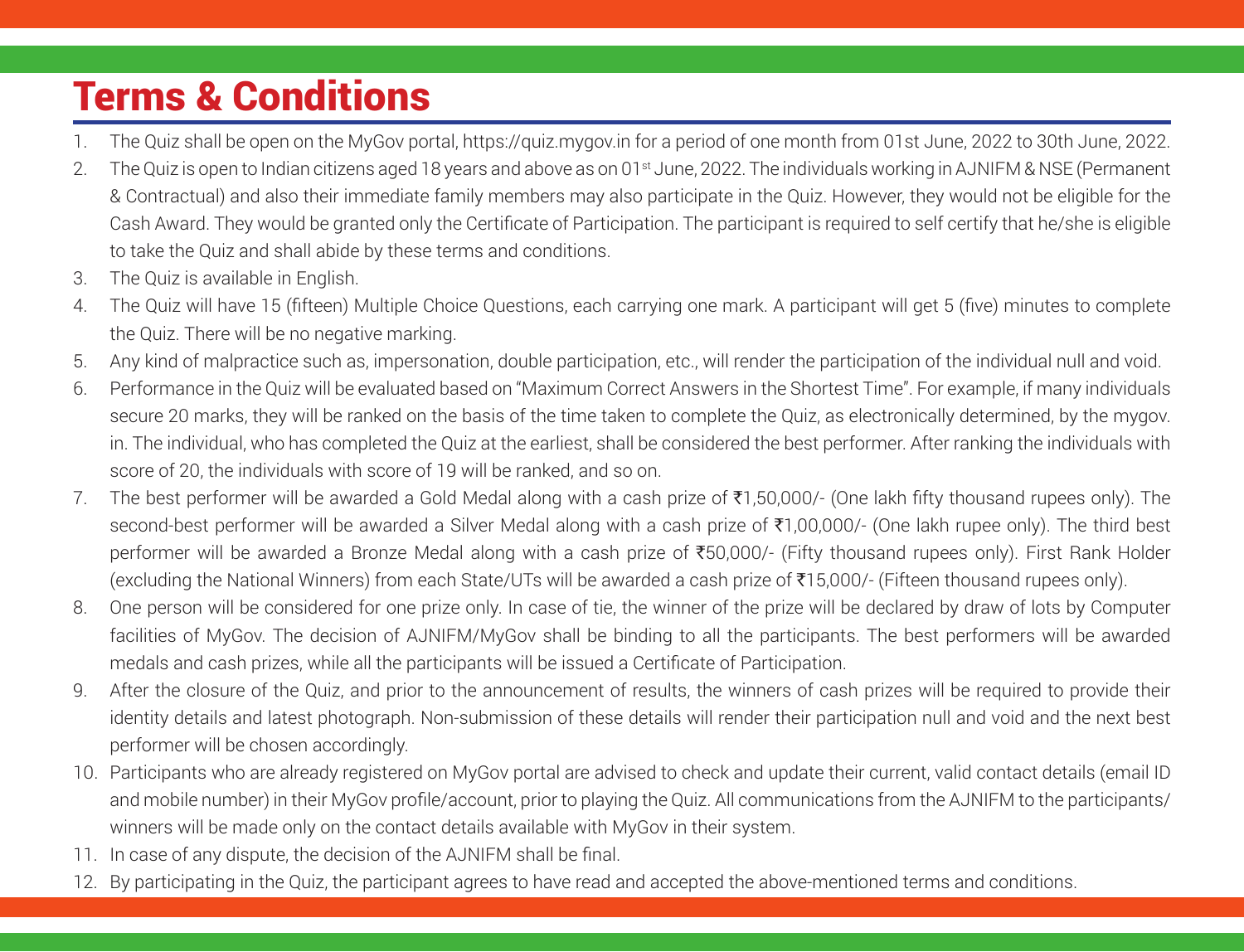### Terms & Conditions

- 1. The Quiz shall be open on the MyGov portal, https://quiz.mygov.in for a period of one month from 01st June, 2022 to 30th June, 2022.
- 2. The Quiz is open to Indian citizens aged 18 years and above as on 01<sup>st</sup> June, 2022. The individuals working in AJNIFM & NSE (Permanent & Contractual) and also their immediate family members may also participate in the Quiz. However, they would not be eligible for the Cash Award. They would be granted only the Certificate of Participation. The participant is required to self certify that he/she is eligible to take the Quiz and shall abide by these terms and conditions.
- 3. The Quiz is available in English.
- 4. The Quiz will have 15 (fifteen) Multiple Choice Questions, each carrying one mark. A participant will get 5 (five) minutes to complete the Quiz. There will be no negative marking.
- 5. Any kind of malpractice such as, impersonation, double participation, etc., will render the participation of the individual null and void.
- 6. Performance in the Quiz will be evaluated based on "Maximum Correct Answers in the Shortest Time". For example, if many individuals secure 20 marks, they will be ranked on the basis of the time taken to complete the Quiz, as electronically determined, by the mygov. in. The individual, who has completed the Quiz at the earliest, shall be considered the best performer. After ranking the individuals with score of 20, the individuals with score of 19 will be ranked, and so on.
- 7. The best performer will be awarded a Gold Medal along with a cash prize of ₹1,50,000/- (One lakh fifty thousand rupees only). The second-best performer will be awarded a Silver Medal along with a cash prize of ₹1,00,000/- (One lakh rupee only). The third best performer will be awarded a Bronze Medal along with a cash prize of ₹50,000/- (Fifty thousand rupees only). First Rank Holder (excluding the National Winners) from each State/UTs will be awarded a cash prize of ₹15,000/- (Fifteen thousand rupees only).
- 8. One person will be considered for one prize only. In case of tie, the winner of the prize will be declared by draw of lots by Computer facilities of MyGov. The decision of AJNIFM/MyGov shall be binding to all the participants. The best performers will be awarded medals and cash prizes, while all the participants will be issued a Certificate of Participation.
- 9. After the closure of the Quiz, and prior to the announcement of results, the winners of cash prizes will be required to provide their identity details and latest photograph. Non-submission of these details will render their participation null and void and the next best performer will be chosen accordingly.
- 10. Participants who are already registered on MyGov portal are advised to check and update their current, valid contact details (email ID and mobile number) in their MyGov profile/account, prior to playing the Quiz. All communications from the AJNIFM to the participants/ winners will be made only on the contact details available with MyGov in their system.
- 11. In case of any dispute, the decision of the AJNIFM shall be final.
- 12. By participating in the Quiz, the participant agrees to have read and accepted the above-mentioned terms and conditions.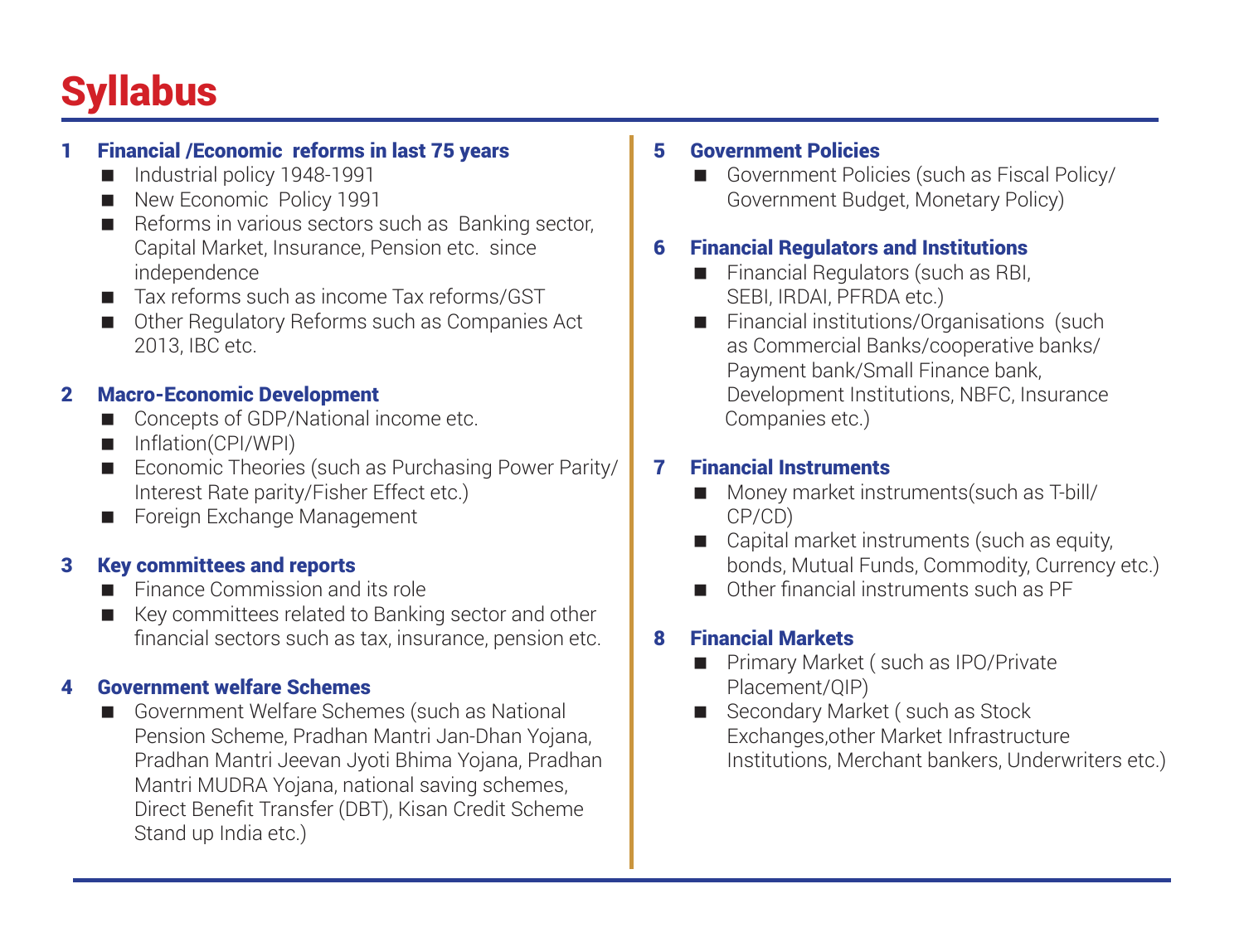## **Syllabus**

### **Financial /Economic reforms in last 75 years**

- Industrial policy 1948-1991
- New Economic Policy 1991
- $\blacksquare$  Reforms in various sectors such as Banking sector, Capital Market, Insurance, Pension etc. since independence
- Tax reforms such as income Tax reforms/GST
- Other Regulatory Reforms such as Companies Act 2013, IBC etc.

#### 2 Macro-Economic Development

- Concepts of GDP/National income etc.
- **Inflation(CPI/WPI)**
- Economic Theories (such as Purchasing Power Parity/ Interest Rate parity/Fisher Effect etc.)
- Foreign Exchange Management

#### 3 Key committees and reports

- Finance Commission and its role
- Key committees related to Banking sector and other financial sectors such as tax, insurance, pension etc.

#### 4 Government welfare Schemes

Government Welfare Schemes (such as National Pension Scheme, Pradhan Mantri Jan-Dhan Yojana, Pradhan Mantri Jeevan Jyoti Bhima Yojana, Pradhan Mantri MUDRA Yojana, national saving schemes, Direct Benefit Transfer (DBT), Kisan Credit Scheme Stand up India etc.)

#### 5 Government Policies

Government Policies (such as Fiscal Policy/ Government Budget, Monetary Policy)

#### 6 Financial Regulators and Institutions

- Financial Regulators (such as RBI, SEBI, IRDAI, PFRDA etc.)
- **Financial institutions/Organisations (such** as Commercial Banks/cooperative banks/ Payment bank/Small Finance bank, Development Institutions, NBFC, Insurance Companies etc.)

#### 7 Financial Instruments

- Money market instruments(such as T-bill/ CP/CD)
- Capital market instruments (such as equity, bonds, Mutual Funds, Commodity, Currency etc.)
- Other financial instruments such as PF

#### 8 Financial Markets

- **Primary Market ( such as IPO/Private** Placement/QIP)
- Secondary Market (such as Stock Exchanges,other Market Infrastructure Institutions, Merchant bankers, Underwriters etc.)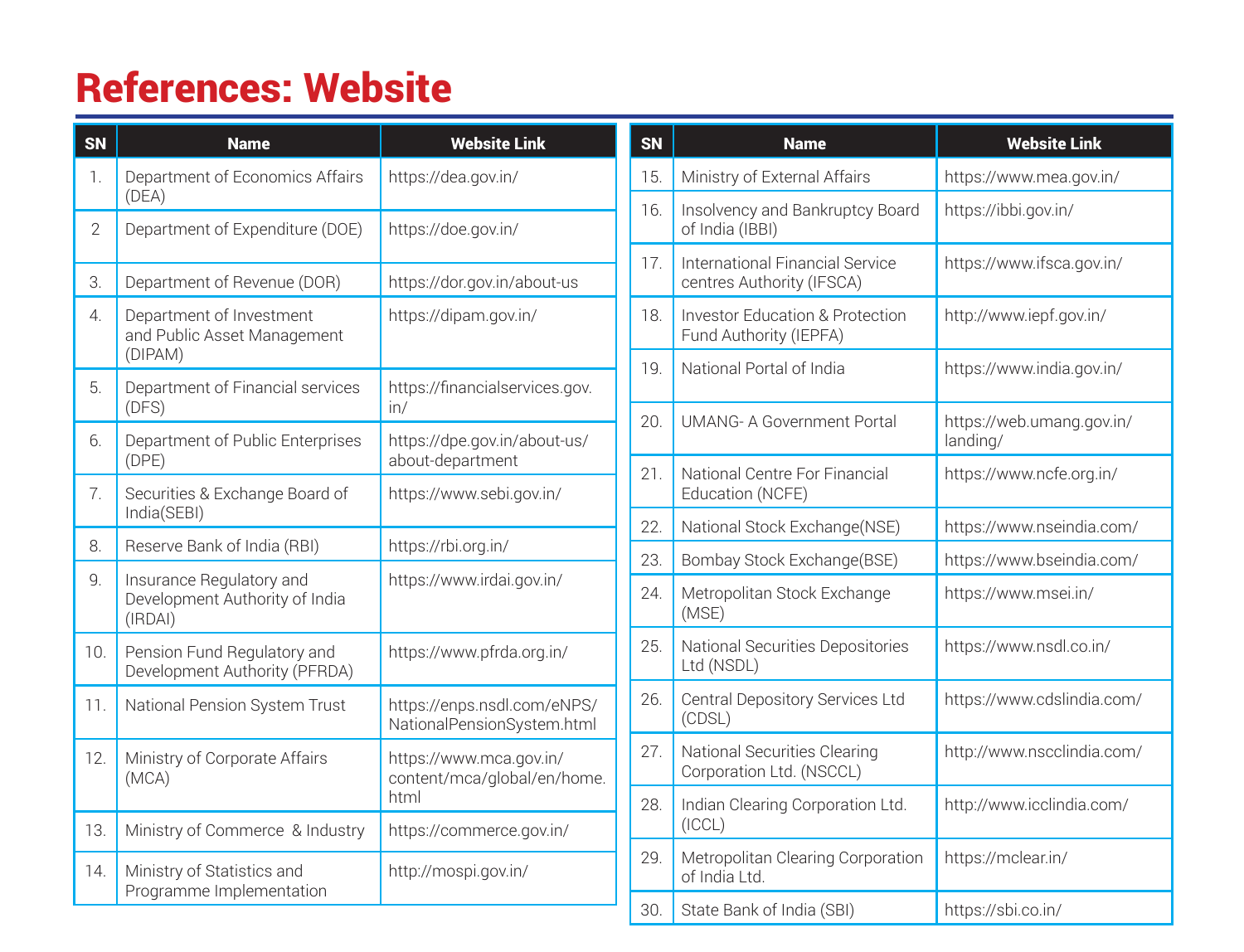### References: Website

| SN             | <b>Name</b>                                                           | <b>Website Link</b>                                            | SN  | <b>Name</b>                                                          | <b>Website Link</b>                   |
|----------------|-----------------------------------------------------------------------|----------------------------------------------------------------|-----|----------------------------------------------------------------------|---------------------------------------|
| $\mathbb{1}$ . | Department of Economics Affairs                                       | https://dea.gov.in/                                            | 15. | Ministry of External Affairs                                         | https://www.mea.gov.in/               |
| $\overline{2}$ | (DEA)<br>Department of Expenditure (DOE)                              | https://doe.gov.in/                                            | 16. | Insolvency and Bankruptcy Board<br>of India (IBBI)                   | https://ibbi.gov.in/                  |
| 3.             | Department of Revenue (DOR)                                           | https://dor.gov.in/about-us                                    | 17. | International Financial Service<br>centres Authority (IFSCA)         | https://www.ifsca.gov.in/             |
| 4.             | Department of Investment<br>and Public Asset Management               | https://dipam.gov.in/                                          | 18. | <b>Investor Education &amp; Protection</b><br>Fund Authority (IEPFA) | http://www.iepf.gov.in/               |
| 5.             | (DIPAM)<br>Department of Financial services                           | https://financialservices.gov.                                 | 19. | National Portal of India                                             | https://www.india.gov.in/             |
| 6.             | (DFS)<br>Department of Public Enterprises                             | in/<br>https://dpe.gov.in/about-us/                            | 20. | <b>UMANG- A Government Portal</b>                                    | https://web.umang.gov.in/<br>landing/ |
| 7.             | (DPE)<br>Securities & Exchange Board of                               | about-department<br>https://www.sebi.gov.in/                   | 21. | National Centre For Financial<br>Education (NCFE)                    | https://www.ncfe.org.in/              |
|                | India(SEBI)                                                           |                                                                | 22. | National Stock Exchange(NSE)                                         | https://www.nseindia.com/             |
| 8.             | Reserve Bank of India (RBI)                                           | https://rbi.org.in/                                            | 23. | Bombay Stock Exchange(BSE)                                           | https://www.bseindia.com/             |
| 9              | Insurance Regulatory and<br>Development Authority of India<br>(IPDAI) | https://www.irdai.gov.in/                                      | 24. | Metropolitan Stock Exchange<br>(MSE)                                 | https://www.msei.in/                  |
| 10.            | Pension Fund Regulatory and<br>Development Authority (PFRDA)          | https://www.pfrda.org.in/                                      | 25. | National Securities Depositories<br>Ltd (NSDL)                       | https://www.nsdl.co.in/               |
| 11.            | National Pension System Trust                                         | https://enps.nsdl.com/eNPS/<br>NationalPensionSystem.html      | 26. | Central Depository Services Ltd<br>(CDSL)                            | https://www.cdslindia.com/            |
| 12.            | Ministry of Corporate Affairs<br>(MCA)                                | https://www.mca.gov.in/<br>content/mca/global/en/home.<br>html | 27. | National Securities Clearing<br>Corporation Ltd. (NSCCL)             | http://www.nscclindia.com/            |
|                |                                                                       |                                                                | 28. | Indian Clearing Corporation Ltd.<br>(ICCL)                           | http://www.icclindia.com/             |
| 13.            | Ministry of Commerce & Industry                                       | https://commerce.gov.in/                                       |     |                                                                      |                                       |
| 14.            | Ministry of Statistics and<br>Programme Implementation                | http://mospi.gov.in/                                           | 29. | Metropolitan Clearing Corporation<br>of India Ltd.                   | https://mclear.in/                    |
|                |                                                                       |                                                                | 30. | State Bank of India (SBI)                                            | https://sbi.co.in/                    |